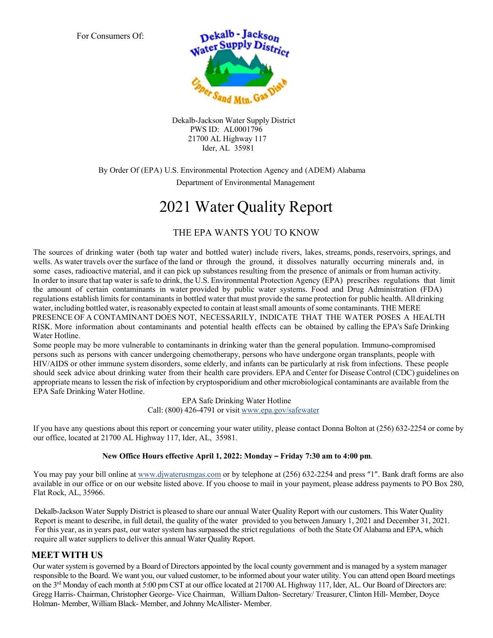For Consumers Of:



Dekalb-Jackson Water Supply District PWS ID: AL0001796 21700 AL Highway 117 Ider, AL 35981

#### By Order Of (EPA) U.S. Environmental Protection Agency and (ADEM) Alabama Department of Environmental Management

# 2021 Water Quality Report

### THE EPA WANTS YOU TO KNOW

The sources of drinking water (both tap water and bottled water) include rivers, lakes, streams, ponds, reservoirs, springs, and wells. As water travels over the surface of the land or through the ground, it dissolves naturally occurring minerals and, in some cases, radioactive material, and it can pick up substances resulting from the presence of animals or from human activity. In order to insure that tap water is safe to drink, the U.S. Environmental Protection Agency (EPA) prescribes regulations that limit the amount of certain contaminants in water provided by public water systems. Food and Drug Administration (FDA) regulations establish limits for contaminants in bottled water that must provide the same protection for public health. All drinking water, including bottled water, isreasonably expected to contain at leastsmall amounts of some contaminants. THE MERE PRESENCE OF A CONTAMINANT DOES NOT, NECESSARILY, INDICATE THAT THE WATER POSES A HEALTH RISK. More information about contaminants and potential health effects can be obtained by calling the EPA's Safe Drinking Water Hotline.

Some people may be more vulnerable to contaminants in drinking water than the general population. Immuno-compromised persons such as persons with cancer undergoing chemotherapy, persons who have undergone organ transplants, people with HIV/AIDS or other immune system disorders, some elderly, and infants can be particularly at risk from infections. These people should seek advice about drinking water from their health care providers. EPA and Center for Disease Control (CDC) guidelines on appropriate means to lessen the risk of infection by cryptosporidium and other microbiological contaminants are available from the EPA Safe Drinking Water Hotline.

> EPA Safe Drinking Water Hotline Call: (800) 426-4791 or visit [www.epa.gov/safewater](http://www.epa.gov/safewater)

If you have any questions about this report or concerning your water utility, please contact Donna Bolton at (256) 632-2254 or come by our office, located at 21700 AL Highway 117, Ider, AL, 35981.

#### New Office Hours effective April 1, 2022: Monday – Friday 7:30 am to 4:00 pm.

You may pay your bill online a[t www.djwaterusmgas.com](http://www.djwaterusmgas.com/) or by telephone at  $(256)$  632-2254 and press "1". Bank draft forms are also available in our office or on our website listed above. If you choose to mail in your payment, please address payments to PO Box 280, Flat Rock, AL, 35966.

 Dekalb-Jackson Water Supply District is pleased to share our annual Water Quality Report with our customers. This Water Quality Report is meant to describe, in full detail, the quality of the water provided to you between January 1, 2021 and December 31, 2021. For this year, as in years past, our water system has surpassed the strict regulations of both the State Of Alabama and EPA, which require all water suppliers to deliver this annual Water Quality Report.

#### **MEETWITH US**

 Our water system is governed by a Board of Directors appointed by the local county government and is managed by a system manager responsible to the Board. We want you, our valued customer, to be informed about your water utility. You can attend open Board meetings on the 3<sup>rd</sup> Monday of each month at 5:00 pm CST at our office located at 21700 AL Highway 117, Ider, AL. Our Board of Directors are: Gregg Harris- Chairman, Christopher George- Vice Chairman, William Dalton- Secretary/ Treasurer, Clinton Hill- Member, Doyce Holman- Member, William Black- Member, and Johnny McAllister- Member.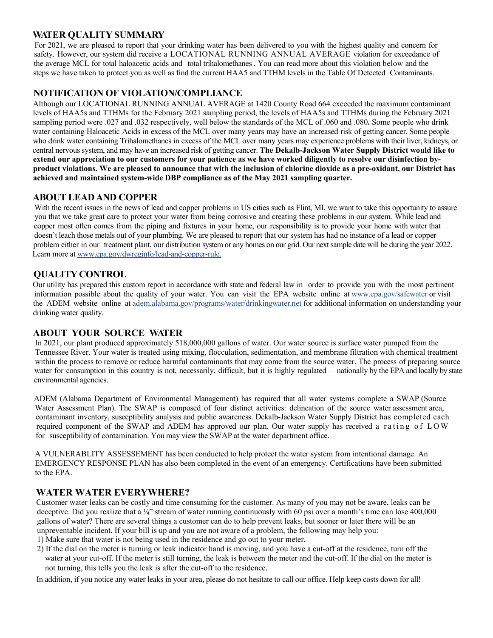#### **WATER QUALITY SUMMARY**

 For 2021, we are pleased to report that your drinking water has been delivered to you with the highest quality and concern for safety. However, our system did receive a LOCATIONAL RUNNING ANNUAL AVERAGE violation for exceedance of the average MCL for total haloacetic acids and total trihalomethanes . You can read more about this violation below and the steps we have taken to protect you as well as find the current HAA5 and TTHM levels in the Table Of Detected Contaminants.

#### **NOTIFICATION OF VIOLATION/COMPLIANCE**

 Although our LOCATIONAL RUNNING ANNUAL AVERAGE at 1420 County Road 664 exceeded the maximum contaminant levels of HAA5s and TTHMs for the February 2021 sampling period, the levels of HAA5s and TTHMs during the February 2021 sampling period were .027 and .032 respectively, well below the standards of the MCL of .060 and .080**.** Some people who drink water containing Haloacetic Acids in excess of the MCL over many years may have an increased risk of getting cancer. Some people who drink water containing Trihalomethanes in excess of the MCL over many years may experience problems with their liver, kidneys, or central nervoussystem, and may have an increased risk of getting cancer. **The Dekalb-Jackson Water Supply District would like to extend our appreciation to our customers for your patience as we have worked diligently to resolve our disinfection by product violations. We are pleased to announce that with the inclusion of chlorine dioxide as a pre-oxidant, our District has achieved and maintained system-wide DBP compliance as of the May 2021 sampling quarter.**

#### **ABOUT LEADAND COPPER**

With the recent issues in the news of lead and copper problems in US cities such as Flint, MI, we want to take this opportunity to assure you that we take great care to protect your water from being corrosive and creating these problems in our system. While lead and copper most often comes from the piping and fixtures in your home, our responsibility is to provide your home with water that doesn't leach those metals out of your plumbing. We are pleased to report that our system has had no instance of a lead or copper problem either in our treatment plant, our distribution system or any homes on our grid. Our next sample date will be during the year 2022. Learn more at [www.epa.gov/dwreginfo/lead-and-copper-rule.](http://www.epa.gov/dwreginfo/lead-and-copper-rule)

#### **QUALITY CONTROL**

 Our utility has prepared this custom report in accordance with state and federal law in order to provide you with the most pertinent information possible about the quality of your water. You can visit the EPA website online at [www.epa.gov/safewater](http://www.epa.gov/safewater) or visit the ADEM website online at adem.alabama.gov/programs/water/drinkingwater.net for additional information on understanding your drinking water quality.

#### **ABOUT YOUR SOURCE WATER**

In 2021, our plant produced approximately 518,000,000 gallons of water. Our water source is surface water pumped from the Tennessee River. Your water is treated using mixing, flocculation, sedimentation, and membrane filtration with chemical treatment within the process to remove or reduce harmful contaminants that may come from the source water. The process of preparing source water for consumption in this country is not, necessarily, difficult, but it is highly regulated – nationally by the EPA and locally by state environmental agencies.

 ADEM (Alabama Department of Environmental Management) has required that all water systems complete a SWAP (Source Water Assessment Plan). The SWAP is composed of four distinct activities: delineation of the source water assessment area, contaminant inventory, susceptibility analysis and public awareness. Dekalb-Jackson Water Supply District has completed each required component of the SWAP and ADEM has approved our plan. Our water supply has received a rating of LOW for susceptibility of contamination. You may view the SWAP at the water department office.

 A VULNERABLITY ASSESSEMENT has been conducted to help protect the water system from intentional damage. An EMERGENCY RESPONSE PLAN has also been completed in the event of an emergency. Certifications have been submitted to the EPA.

#### **WATER WATER EVERYWHERE?**

 Customer water leaks can be costly and time consuming for the customer. As many of you may not be aware, leaks can be deceptive. Did you realize that a ¼" stream of water running continuously with 60 psi over a month's time can lose 400,000 gallons of water? There are several things a customer can do to help prevent leaks, but sooner or later there will be an unpreventable incident. If your bill is up and you are not aware of a problem, the following may help you:

- 1) Make sure that water is not being used in the residence and go out to your meter.
- 2) If the dial on the meter is turning or leak indicator hand is moving, and you have a cut-off at the residence, turn off the water at your cut-off. If the meter is still turning, the leak is between the meter and the cut-off. If the dial on the meter is not turning, this tells you the leak is after the cut-off to the residence.

In addition, if you notice any water leaks in your area, please do not hesitate to call our office. Help keep costs down for all!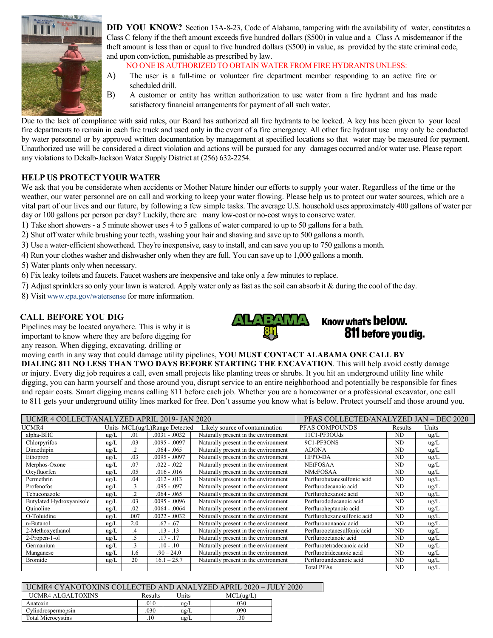

**DID YOU KNOW?** Section 13A-8-23, Code of Alabama, tampering with the availability of water, constitutes a Class C felony if the theft amount exceeds five hundred dollars (\$500) in value and a Class A misdemeanor if the theft amount is less than or equal to five hundred dollars (\$500) in value, as provided by the state criminal code, and upon conviction, punishable as prescribed by law.

NO ONE IS AUTHORIZED TO OBTAIN WATER FROM FIRE HYDRANTS UNLESS:

- A) The user is a full-time or volunteer fire department member responding to an active fire or scheduled drill.
- B) A customer or entity has written authorization to use water from a fire hydrant and has made satisfactory financial arrangements for payment of all such water.

Due to the lack of compliance with said rules, our Board has authorized all fire hydrants to be locked. A key has been given to your local fire departments to remain in each fire truck and used only in the event of a fire emergency. All other fire hydrant use may only be conducted by water personnel or by approved written documentation by management at specified locations so that water may be measured for payment. Unauthorized use will be considered a direct violation and actions will be pursued for any damages occurred and/or water use. Please report any violations to Dekalb-Jackson Water Supply District at (256) 632-2254.

#### **HELP US PROTECTYOUR WATER**

We ask that you be considerate when accidents or Mother Nature hinder our efforts to supply your water. Regardless of the time or the weather, our water personnel are on call and working to keep your water flowing. Please help us to protect our water sources, which are a vital part of our lives and our future, by following a few simple tasks. The average U.S. household uses approximately 400 gallons of water per day or 100 gallons per person per day? Luckily, there are many low-cost or no-cost ways to conserve water.

- 1) Take short showers a 5 minute shower uses 4 to 5 gallons of water compared to up to 50 gallons for a bath.
- 2) Shut off water while brushing your teeth, washing your hair and shaving and save up to 500 gallons a month.
- 3) Use a water-efficient showerhead. They're inexpensive, easy to install, and can save you up to 750 gallons a month.
- 4) Run your clothes washer and dishwasher only when they are full. You can save up to 1,000 gallons a month.
- 5) Water plants only when necessary.
- 6) Fix leaky toilets and faucets. Faucet washers are inexpensive and take only a few minutes to replace.
- 7) Adjust sprinklersso only your lawn is watered. Apply water only as fast as the soil can absorb it & during the cool of the day.
- 8) Visi[t www.epa.gov/watersense](http://www.epa.gov/watersense) for more information.

#### **CALL BEFORE YOU DIG**

 Pipelines may be located anywhere. This is why it is important to know where they are before digging for any reason. When digging, excavating, drilling or



### Know what's **below.** 811 before vou dia.

moving earth in any way that could damage utility pipelines, **YOU MUST CONTACT ALABAMA ONE CALL BY** 

 **DIALING 811 NO LESS THAN TWO DAYS BEFORE STARTING THE EXCAVATION**. This will help avoid costly damage or injury. Every dig job requires a call, even small projects like planting trees or shrubs. It you hit an underground utility line while digging, you can harm yourself and those around you, disrupt service to an entire neighborhood and potentially be responsible for fines and repair costs. Smart digging means calling 811 before each job. Whether you are a homeowner or a professional excavator, one call to 811 gets your underground utility lines marked for free. Don't assume you know what is below. Protect yourself and those around you.

| UCMR 4 COLLECT/ANALYZED APRIL 2019- JAN 2020 |               |                |                               | PFAS COLLECTED/ANALYZED JAN - DEC 2020 |                             |           |               |  |
|----------------------------------------------|---------------|----------------|-------------------------------|----------------------------------------|-----------------------------|-----------|---------------|--|
| UCMR4                                        |               |                | Units MCL(ug/L)Range Detected | Likely source of contamination         | PFAS COMPOUNDS              | Results   | Units         |  |
| alpha-BHC                                    | $\text{ug/L}$ | .01            | $.0031-.0032$                 | Naturally present in the environment   | 11C1-PF3OUds                | ND.       | $\text{ug/L}$ |  |
| Chlorpyrifos                                 | $\text{ug/L}$ | .03            | $.0095 - .0097$               | Naturally present in the environment   | 9C1-PF3ONS                  | <b>ND</b> | $\text{ug/L}$ |  |
| Dimethipin                                   | ug/L          | $\overline{2}$ | $.064-.065$                   | Naturally present in the environment   | <b>ADONA</b>                | ND.       | ug/L          |  |
| Ethoprop                                     | $\text{ug/L}$ | .03            | $.0095 - .0097$               | Naturally present in the environment   | <b>HFPO-DA</b>              | ND        | $\text{ug/L}$ |  |
| Merphos-Oxone                                | $\text{ug/L}$ | .07            | $.022-.022$                   | Naturally present in the environment   | <b>NEtFOSAA</b>             | ND.       | ug/L          |  |
| Oxyfluorfen                                  | $\text{ug/L}$ | .05            | $.016 - .016$                 | Naturally present in the environment   | <b>NMeFOSAA</b>             | ND.       | $\text{ug/L}$ |  |
| Permethrin                                   | ug/L          | .04            | $.012 - .013$                 | Naturally present in the environment   | Perflurobutanesulfonic acid | ND        | $\text{ug/L}$ |  |
| Profenofos                                   | $\text{ug/L}$ | $\cdot$ 3      | $.095-.097$                   | Naturally present in the environment   | Perflurodecanoic acid       | ND        | $\text{ug/L}$ |  |
| Tebuconazole                                 | $\text{ug/L}$ | $\cdot$        | $.064-.065$                   | Naturally present in the environment   | Perflurohexanoic acid       | <b>ND</b> | $\text{ug/L}$ |  |
| Butylated Hydroxyanisole                     | ug/L          | .03            | $.0095 - .0096$               | Naturally present in the environment   | Perflurododecanoic acid     | ND        | $\text{ug/L}$ |  |
| Quinoline                                    | $\text{ug/L}$ | .02            | $.0064-.0064$                 | Naturally present in the environment   | Perfluroheptanoic acid      | <b>ND</b> | ug/L          |  |
| O-Toluidine                                  | ug/L          | .007           | $.0022-.0032$                 | Naturally present in the environment   | Perflurohexanesulfonic acid | ND.       | $\text{ug/L}$ |  |
| n-Butanol                                    | $\text{ug/L}$ | 2.0            | $.67 - .67$                   | Naturally present in the environment   | Perflurononanoic acid       | <b>ND</b> | $\text{ug/L}$ |  |
| 2-Methoxyethanol                             | $\text{ug/L}$ | $\mathcal{A}$  | $.13 - .13$                   | Naturally present in the environment   | Perflurooctanesulfonic acid | <b>ND</b> | $\text{ug/L}$ |  |
| 2-Propen-1-ol                                | $\text{ug/L}$ | $.5\,$         | $.17 - .17$                   | Naturally present in the environment   | Perflurooctanoic acid       | <b>ND</b> | $\text{ug/L}$ |  |
| Germanium                                    | $\text{ug/L}$ | $\cdot$ 3      | $.10 - .10$                   | Naturally present in the environment   | Perflurotetradecanoic acid  | ND        | $\text{ug/L}$ |  |
| Manganese                                    | $\text{ug/L}$ | 1.6            | $.90 - 24.0$                  | Naturally present in the environment   | Perflurotridecanoic acid    | <b>ND</b> | $\text{ug/L}$ |  |
| Bromide                                      | $\text{ug/L}$ | 20             | $16.1 - 25.7$                 | Naturally present in the environment   | Perfluroundecanoic acid     | ND        | $\text{ug/L}$ |  |
|                                              |               |                |                               |                                        | <b>Total PFAs</b>           | ND        | $\text{ug/L}$ |  |

#### UCMR4 CYANOTOXINS COLLECTED AND ANALYZED APRIL 2020 – JULY 2020

| UCMR4 ALGALTOXINS         | Results | Jnits         | MCL(ug/L) |
|---------------------------|---------|---------------|-----------|
| Anatoxin                  | .010    | $u\text{g}/L$ | .030      |
| Cylindrospermopsin        | .030    | $u\text{g}/L$ | .090      |
| <b>Total Microcystins</b> | .10     | $u\text{g}/L$ | .30       |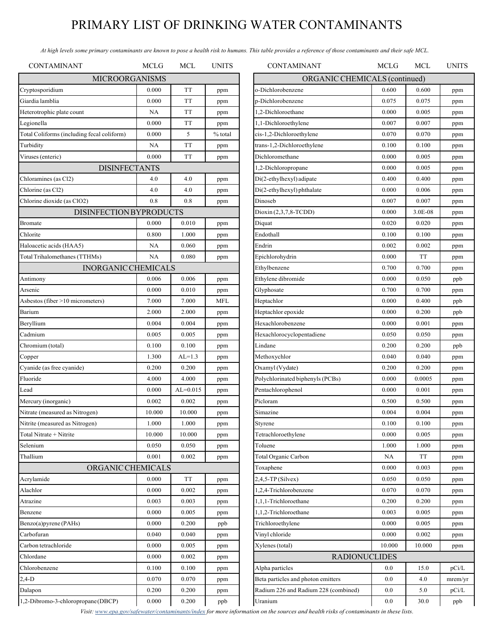# PRIMARY LIST OF DRINKING WATER CONTAMINANTS

 *At high levels some primary contaminants are known to pose a health risk to humans. This table provides a reference of those contaminants and their safe MCL.* 

| <b>CONTAMINANT</b>                         | <b>MCLG</b> | <b>MCL</b>   | <b>UNITS</b> | <b>CONTAMINANT</b>                   | <b>MCLG</b> | MCL     | <b>UNITS</b> |
|--------------------------------------------|-------------|--------------|--------------|--------------------------------------|-------------|---------|--------------|
| <b>MICROORGANISMS</b>                      |             |              |              | ORGANIC CHEMICALS (continued)        |             |         |              |
| Cryptosporidium                            | 0.000       | <b>TT</b>    | ppm          | o-Dichlorobenzene                    | 0.600       | 0.600   | ppm          |
| Giardia lamblia                            | 0.000       | <b>TT</b>    | ppm          | p-Dichlorobenzene                    | 0.075       | 0.075   | ppm          |
| Heterotrophic plate count                  | <b>NA</b>   | <b>TT</b>    | ppm          | 1,2-Dichloroethane                   | 0.000       | 0.005   | ppm          |
| Legionella                                 | 0.000       | TT           | ppm          | 1,1-Dichloroethylene                 | 0.007       | 0.007   | ppm          |
| Total Coliforms (including fecal coliform) | 0.000       | 5            | % total      | cis-1,2-Dichloroethylene             | 0.070       | 0.070   | ppm          |
| Turbidity                                  | <b>NA</b>   | TT           | ppm          | trans-1,2-Dichloroethylene           | 0.100       | 0.100   | ppm          |
| Viruses (enteric)                          | 0.000       | TT           | ppm          | Dichloromethane                      | 0.000       | 0.005   | ppm          |
| <b>DISINFECTANTS</b>                       |             |              |              | 1,2-Dichloropropane                  | 0.000       | 0.005   | ppm          |
| Chloramines (as Cl2)                       | 4.0         | 4.0          | ppm          | Di(2-ethylhexyl) adipate             | 0.400       | 0.400   | ppm          |
| Chlorine (as Cl2)                          | 4.0         | 4.0          | ppm          | Di(2-ethylhexyl) phthalate           | 0.000       | 0.006   | ppm          |
| Chlorine dioxide (as ClO2)                 | 0.8         | 0.8          | ppm          | Dinoseb                              | 0.007       | 0.007   | ppm          |
| <b>DISINFECTION BYPRODUCTS</b>             |             |              |              | Dioxin (2,3,7,8-TCDD)                | 0.000       | 3.0E-08 | ppm          |
| Bromate                                    | 0.000       | 0.010        | ppm          | Diquat                               | 0.020       | 0.020   | ppm          |
| Chlorite                                   | 0.800       | 1.000        | ppm          | Endothall                            | 0.100       | 0.100   | ppm          |
| Haloacetic acids (HAA5)                    | <b>NA</b>   | 0.060        | ppm          | Endrin                               | 0.002       | 0.002   | ppm          |
| Total Trihalomethanes (TTHMs)              | <b>NA</b>   | 0.080        | ppm          | Epichlorohydrin                      | 0.000       | TT      | ppm          |
| <b>INORGANIC CHEMICALS</b>                 |             |              |              | Ethylbenzene                         | 0.700       | 0.700   | ppm          |
| Antimony                                   | 0.006       | 0.006        | ppm          | Ethylene dibromide                   | 0.000       | 0.050   | ppb          |
| Arsenic                                    | 0.000       | 0.010        | ppm          | Glyphosate                           | 0.700       | 0.700   | ppm          |
| Asbestos (fiber >10 micrometers)           | 7.000       | 7.000        | <b>MFL</b>   | Heptachlor                           | 0.000       | 0.400   | ppb          |
| Barium                                     | 2.000       | 2.000        | ppm          | Heptachlor epoxide                   | 0.000       | 0.200   | ppb          |
| Beryllium                                  | 0.004       | 0.004        | ppm          | Hexachlorobenzene                    | 0.000       | 0.001   | ppm          |
| Cadmium                                    | 0.005       | 0.005        | ppm          | Hexachlorocyclopentadiene            | 0.050       | 0.050   | ppm          |
| Chromium (total)                           | 0.100       | 0.100        | ppm          | Lindane                              | 0.200       | 0.200   | ppb          |
| Copper                                     | 1.300       | $AL=1.3$     | ppm          | Methoxychlor                         | 0.040       | 0.040   | ppm          |
| Cyanide (as free cyanide)                  | 0.200       | 0.200        | ppm          | Oxamyl (Vydate)                      | 0.200       | 0.200   | ppm          |
| Fluoride                                   | 4.000       | 4.000        | ppm          | Polychlorinated biphenyls (PCBs)     | 0.000       | 0.0005  | ppm          |
| Lead                                       | 0.000       | $AL = 0.015$ | ppm          | Pentachlorophenol                    | 0.000       | 0.001   | ppm          |
| Mercury (inorganic)                        | 0.002       | 0.002        | ppm          | Picloram                             | 0.500       | 0.500   | ppm          |
| Nitrate (measured as Nitrogen)             | 10.000      | 10.000       | ppm          | Simazine                             | 0.004       | 0.004   | ppm          |
| Nitrite (measured as Nitrogen)             | 1.000       | 1.000        | ppm          | Styrene                              | 0.100       | 0.100   | ppm          |
| Total Nitrate + Nitrite                    | 10.000      | 10.000       | ppm          | Tetrachloroethylene                  | 0.000       | 0.005   | ppm          |
| Selenium                                   | 0.050       | 0.050        | ppm          | Toluene                              | 1.000       | 1.000   | ppm          |
| Thallium                                   | 0.001       | 0.002        | ppm          | Total Organic Carbon                 | NA          | TT      | ppm          |
| ORGANIC CHEMICALS                          |             |              |              | Toxaphene                            | 0.000       | 0.003   | ppm          |
| Acrylamide                                 | 0.000       | TT           | ppm          | $2,4,5$ -TP (Silvex)                 | 0.050       | 0.050   | ppm          |
| Alachlor                                   | 0.000       | 0.002        | ppm          | 1,2,4-Trichlorobenzene               | 0.070       | 0.070   | ppm          |
| Atrazine                                   | 0.003       | 0.003        | ppm          | 1,1,1-Trichloroethane                | 0.200       | 0.200   | ppm          |
| Benzene                                    | 0.000       | 0.005        | ppm          | 1,1,2-Trichloroethane                | 0.003       | 0.005   | ppm          |
| Benzo(a)pyrene (PAHs)                      | 0.000       | 0.200        | ppb          | Trichloroethylene                    | 0.000       | 0.005   | ppm          |
| Carbofuran                                 | 0.040       | 0.040        | ppm          | Vinyl chloride                       | 0.000       | 0.002   | ppm          |
| Carbon tetrachloride                       | 0.000       | 0.005        | ppm          | Xylenes (total)                      | 10.000      | 10.000  | ppm          |
| Chlordane                                  | 0.000       | 0.002        | ppm          | <b>RADIONUCLIDES</b>                 |             |         |              |
| Chlorobenzene                              | 0.100       | 0.100        | ppm          | Alpha particles                      | 0.0         | 15.0    | pCi/L        |
| $2,4-D$                                    | 0.070       | 0.070        | ppm          | Beta particles and photon emitters   | 0.0         | 4.0     | mrem/yı      |
| Dalapon                                    | 0.200       | 0.200        | ppm          | Radium 226 and Radium 228 (combined) | 0.0         | 5.0     | pCi/L        |
| 1,2-Dibromo-3-chloropropane(DBCP)          | 0.000       | 0.200        | ppb          | Uranium                              | 0.0         | 30.0    | ppb          |
|                                            |             |              |              |                                      |             |         |              |

| <b>CONTAMINANT</b>                   | MCLG   | <b>MCL</b> | UNITS   |  |  |  |  |
|--------------------------------------|--------|------------|---------|--|--|--|--|
| ORGANIC CHEMICALS (continued)        |        |            |         |  |  |  |  |
| o-Dichlorobenzene                    | 0.600  | 0.600      | ppm     |  |  |  |  |
| p-Dichlorobenzene                    | 0.075  | 0.075      | ppm     |  |  |  |  |
| 1,2-Dichloroethane                   | 0.000  | 0.005      | ppm     |  |  |  |  |
| 1,1-Dichloroethylene                 | 0.007  | 0.007      | ppm     |  |  |  |  |
| cis-1,2-Dichloroethylene             | 0.070  | 0.070      | ppm     |  |  |  |  |
| trans-1,2-Dichloroethylene           | 0.100  | 0.100      | ppm     |  |  |  |  |
| Dichloromethane                      | 0.000  | 0.005      | ppm     |  |  |  |  |
| 1,2-Dichloropropane                  | 0.000  | 0.005      | ppm     |  |  |  |  |
| Di(2-ethylhexyl) adipate             | 0.400  | 0.400      | ppm     |  |  |  |  |
| Di(2-ethylhexyl) phthalate           | 0.000  | 0.006      | ppm     |  |  |  |  |
| Dinoseb                              | 0.007  | 0.007      | ppm     |  |  |  |  |
| Dioxin (2,3,7,8-TCDD)                | 0.000  | 3.0E-08    | ppm     |  |  |  |  |
| Diquat                               | 0.020  | 0.020      | ppm     |  |  |  |  |
| Endothall                            | 0.100  | 0.100      | ppm     |  |  |  |  |
| Endrin                               | 0.002  | 0.002      | ppm     |  |  |  |  |
| Epichlorohydrin                      | 0.000  | <b>TT</b>  | ppm     |  |  |  |  |
| Ethylbenzene                         | 0.700  | 0.700      | ppm     |  |  |  |  |
| Ethylene dibromide                   | 0.000  | 0.050      | ppb     |  |  |  |  |
| Glyphosate                           | 0.700  | 0.700      | ppm     |  |  |  |  |
| Heptachlor                           | 0.000  | 0.400      | ppb     |  |  |  |  |
| Heptachlor epoxide                   | 0.000  | 0.200      | ppb     |  |  |  |  |
| Hexachlorobenzene                    | 0.000  | 0.001      | ppm     |  |  |  |  |
| Hexachlorocyclopentadiene            | 0.050  | 0.050      | ppm     |  |  |  |  |
| Lindane                              | 0.200  | 0.200      | ppb     |  |  |  |  |
| Methoxychlor                         | 0.040  | 0.040      | ppm     |  |  |  |  |
| Oxamyl (Vydate)                      | 0.200  | 0.200      | ppm     |  |  |  |  |
| Polychlorinated biphenyls (PCBs)     | 0.000  | 0.0005     | ppm     |  |  |  |  |
| Pentachlorophenol                    | 0.000  | 0.001      | ppm     |  |  |  |  |
| Picloram                             | 0.500  | 0.500      | ppm     |  |  |  |  |
| Simazine                             | 0.004  | 0.004      | ppm     |  |  |  |  |
| Styrene                              | 0.100  | 0.100      | ppm     |  |  |  |  |
| Tetrachloroethylene                  | 0.000  | 0.005      | ppm     |  |  |  |  |
| Toluene                              | 1.000  | 1.000      | ppm     |  |  |  |  |
| Total Organic Carbon                 | NA     | TT         | ppm     |  |  |  |  |
| Toxaphene                            | 0.000  | 0.003      | ppm     |  |  |  |  |
| $2,4,5$ -TP (Silvex)                 | 0.050  | 0.050      | ppm     |  |  |  |  |
| 1,2,4-Trichlorobenzene               | 0.070  | 0.070      | ppm     |  |  |  |  |
| 1,1,1-Trichloroethane                | 0.200  | 0.200      | ppm     |  |  |  |  |
| 1,1,2-Trichloroethane                | 0.003  | 0.005      | ppm     |  |  |  |  |
| Trichloroethylene                    | 0.000  | 0.005      | ppm     |  |  |  |  |
| Vinyl chloride                       | 0.000  | 0.002      | ppm     |  |  |  |  |
| Xylenes (total)                      | 10.000 | 10.000     | ppm     |  |  |  |  |
| <b>RADIONUCLIDES</b>                 |        |            |         |  |  |  |  |
| Alpha particles                      | 0.0    | 15.0       | pCi/L   |  |  |  |  |
| Beta particles and photon emitters   | 0.0    | 4.0        | mrem/yr |  |  |  |  |
| Radium 226 and Radium 228 (combined) | 0.0    | 5.0        | pCi/L   |  |  |  |  |
| Uranium                              | 0.0    | 30.0       | ppb     |  |  |  |  |

Visit[: www.epa.gov/safewater/contaminants/index](http://www.epa.gov/safewater/contaminants/index) for more information on the sources and health risks of contaminants in these lists.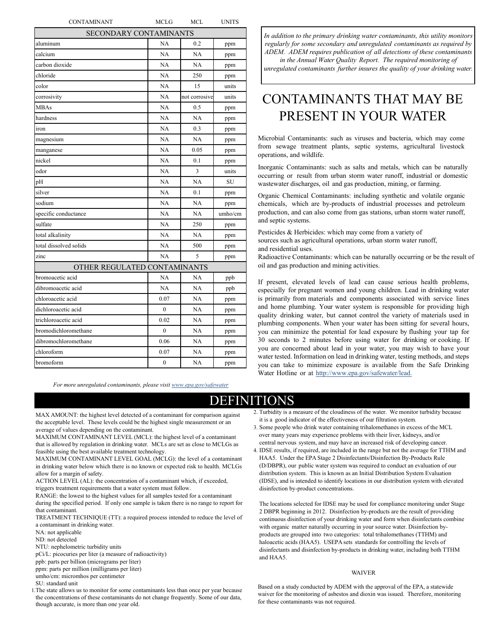| CONTAMINANT                  | MCLG           | MCL           | UNITS   |
|------------------------------|----------------|---------------|---------|
| SECONDARY CONTAMINANTS       |                |               |         |
| aluminum                     | NA             | 0.2           | ppm     |
| calcium                      | NA             | NA            | ppm     |
| carbon dioxide               | NA             | <b>NA</b>     | ppm     |
| chloride                     | NA             | 250           | ppm     |
| color                        | NA             | 15            | units   |
| corrosivity                  | NA             | not corrosive | units   |
| <b>MBAs</b>                  | <b>NA</b>      | 0.5           | ppm     |
| hardness                     | NA             | NA            | ppm     |
| iron                         | NA             | 0.3           | ppm     |
| magnesium                    | NA             | NA            | ppm     |
| manganese                    | NA             | 0.05          | ppm     |
| nickel                       | NA             | 0.1           | ppm     |
| odor                         | <b>NA</b>      | 3             | units   |
| pH                           | NA             | <b>NA</b>     | SU      |
| silver                       | NA             | 0.1           | ppm     |
| sodium                       | NA             | NA            | ppm     |
| specific conductance         | NA             | NA            | umho/cm |
| sulfate                      | NA             | 250           | ppm     |
| total alkalinity             | NA             | NA            | ppm     |
| total dissolved solids       | NA             | 500           | ppm     |
| zinc                         | NA             | 5             | ppm     |
| OTHER REGULATED CONTAMINANTS |                |               |         |
| bromoacetic acid             | NA             | NA            | ppb     |
| dibromoacetic acid           | NA             | NA            | ppb     |
| chloroacetic acid            | 0.07           | NA            | ppm     |
| dichloroacetic acid          | $\theta$       | NA            | ppm     |
| trichloroacetic acid         | 0.02           | NA            | ppm     |
| bromodichloromethane         | $\overline{0}$ | NA            | ppm     |
| dibromochloromethane         | 0.06           | NA            | ppm     |
| chloroform                   | 0.07           | NA            | ppm     |
| bromoform                    | 0              | NA            | ppm     |
|                              |                |               |         |

*For more unregulated [contaminants, please visit www.epa.gov/safewater](http://www.epa.gov/safewater)*

*In addition to the primary drinking water contaminants, this utility monitors regularly for some secondary and unregulated contaminants as required by ADEM. ADEM requires publication of all detections of these contaminants* 

*in the Annual Water Quality Report. The required monitoring of unregulated contaminants further insures the quality of your drinking water.*

# CONTAMINANTS THAT MAY BE PRESENT IN YOUR WATER

Microbial Contaminants: such as viruses and bacteria, which may come from sewage treatment plants, septic systems, agricultural livestock operations, and wildlife.

Inorganic Contaminants: such as salts and metals, which can be naturally occurring or result from urban storm water runoff, industrial or domestic wastewater discharges, oil and gas production, mining, or farming.

Organic Chemical Contaminants: including synthetic and volatile organic chemicals, which are by-products of industrial processes and petroleum production, and can also come from gas stations, urban storm water runoff, and septic systems.

Pesticides & Herbicides: which may come from a variety of sources such as agricultural operations, urban storm water runoff, and residential uses.

Radioactive Contaminants: which can be naturally occurring or be the result of oil and gas production and mining activities.

If present, elevated levels of lead can cause serious health problems, especially for pregnant women and young children. Lead in drinking water is primarily from materials and components associated with service lines and home plumbing. Your water system is responsible for providing high quality drinking water, but cannot control the variety of materials used in plumbing components. When your water has been sitting for several hours, you can minimize the potential for lead exposure by flushing your tap for 30 seconds to 2 minutes before using water for drinking or cooking. If you are concerned about lead in your water, you may wish to have your water tested. Information on lead in drinking water, testing methods, and steps you can take to minimize exposure is available from the Safe Drinking Water Hotline or at [http://www.epa.gov/safewater/lead.](http://www.epa.gov/safewater/lead)

### DEFINITIONS

MAX AMOUNT: the highest level detected of a contaminant for comparison against the acceptable level. These levels could be the highest single measurement or an average of values depending on the contaminant.

MAXIMUM CONTAMINANT LEVEL (MCL): the highest level of a contaminant that is allowed by regulation in drinking water. MCLs are set as close to MCLGs as feasible using the best available treatment technology.

MAXIMUM CONTAMINANT LEVEL GOAL (MCLG): the level of a contaminant in drinking water below which there is no known or expected risk to health. MCLGs allow for a margin of safety.

ACTION LEVEL (AL): the concentration of a contaminant which, if exceeded, triggers treatment requirements that a water system must follow.

RANGE: the lowest to the highest values for all samples tested for a contaminant during the specified period. If only one sample is taken there is no range to report for that contaminant.

TREATMENT TECHNIQUE (TT): a required process intended to reduce the level of a contaminant in drinking water.

NA: not applicable

ND: not detected

NTU: nephelometric turbidity units

pCi/L: picocuries per liter (a measure of radioactivity)

ppb: parts per billion (micrograms per liter)

ppm: parts per million (milligrams per liter)

umho/cm: micromhos per centimeter

SU: standard unit

1.The state allows us to monitor for some contaminants less than once per year because the concentrations of these contaminants do not change frequently. Some of our data, though accurate, is more than one year old.

- 2. Turbidity is a measure of the cloudiness of the water. We monitor turbidity because it is a good indicator of the effectiveness of our filtration system.
- 3. Some people who drink water containing trihalomethanes in excess of the MCL over many years may experience problems with their liver, kidneys, and/or central nervous system, and may have an increased risk of developing cancer.
- 4. IDSE results, if required, are included in the range but not the average for TTHM and HAA5. Under the EPA Stage 2 Disinfectants/Disinfection By-Products Rule (D/DBPR), our public water system was required to conduct an evaluation of our distribution system. This is known as an Initial Distribution System Evaluation (IDSE), and is intended to identify locations in our distribution system with elevated disinfection by-product concentrations.

The locations selected for IDSE may be used for compliance monitoring under Stage 2 DBPR beginning in 2012. Disinfection by-products are the result of providing continuous disinfection of your drinking water and form when disinfectants combine with organic matter naturally occurring in your source water. Disinfection byproducts are grouped into two categories: total trihalomethanes (TTHM) and haloacetic acids (HAA5). USEPA sets standards for controlling the levels of disinfectants and disinfection by-products in drinking water, including both TTHM and HAA5.

#### WAIVER

Based on a study conducted by ADEM with the approval of the EPA, a statewide waiver for the monitoring of asbestos and dioxin was issued. Therefore, monitoring for these contaminants was not required.